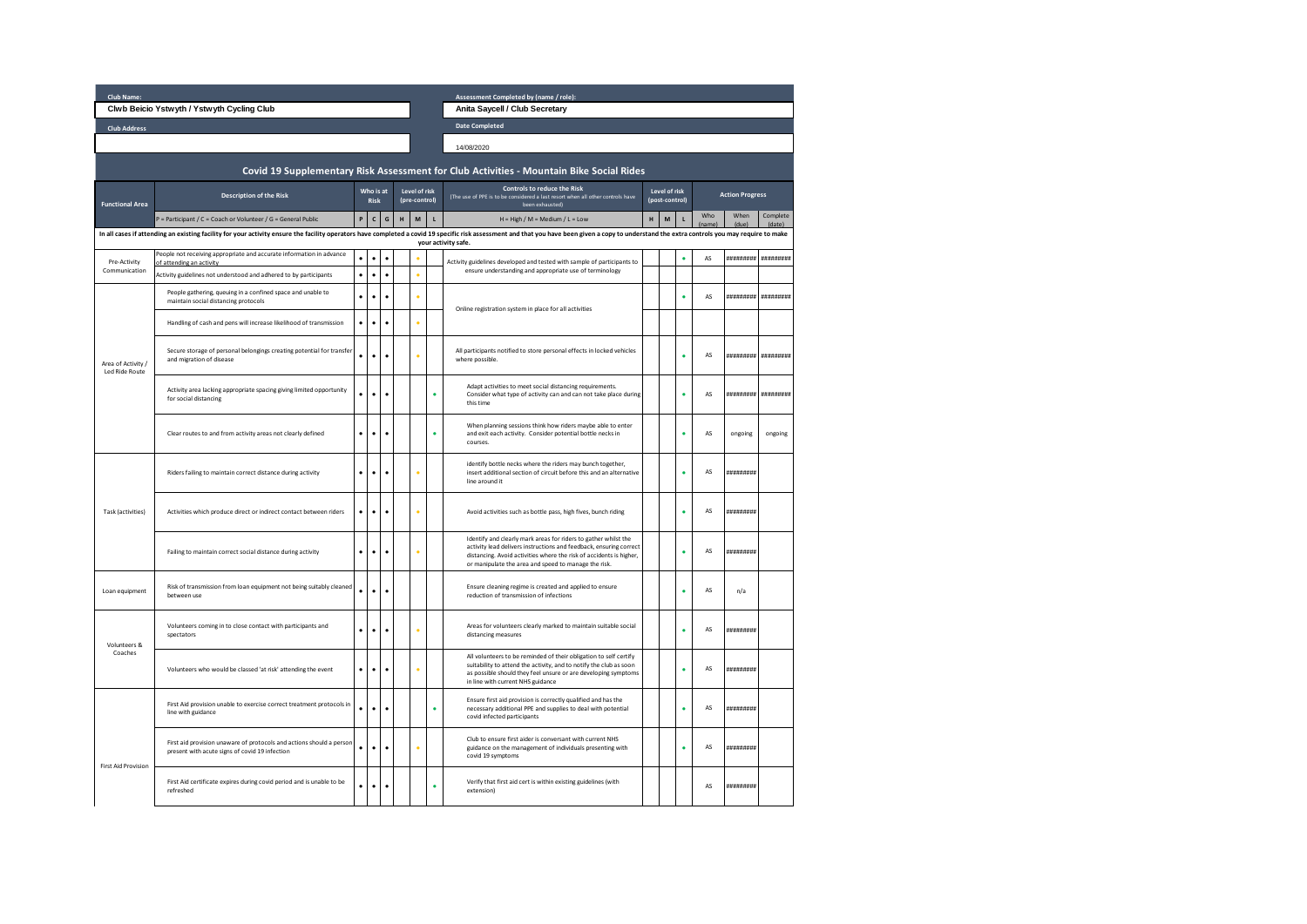| Club Name:<br>Assessment Completed by (name / role):                                                                                                                                                                                                  |                                                                                                                        |              |              |               |               |            |                                                                                                   |                                                                                                                                                                                                                                                                      |                |               |                        |               |               |                       |
|-------------------------------------------------------------------------------------------------------------------------------------------------------------------------------------------------------------------------------------------------------|------------------------------------------------------------------------------------------------------------------------|--------------|--------------|---------------|---------------|------------|---------------------------------------------------------------------------------------------------|----------------------------------------------------------------------------------------------------------------------------------------------------------------------------------------------------------------------------------------------------------------------|----------------|---------------|------------------------|---------------|---------------|-----------------------|
| Clwb Beicio Ystwyth / Ystwyth Cycling Club                                                                                                                                                                                                            |                                                                                                                        |              |              |               |               |            |                                                                                                   | Anita Saycell / Club Secretary                                                                                                                                                                                                                                       |                |               |                        |               |               |                       |
| <b>Club Address</b>                                                                                                                                                                                                                                   |                                                                                                                        |              |              |               |               |            |                                                                                                   | <b>Date Completed</b>                                                                                                                                                                                                                                                |                |               |                        |               |               |                       |
|                                                                                                                                                                                                                                                       |                                                                                                                        |              |              |               |               | 14/08/2020 |                                                                                                   |                                                                                                                                                                                                                                                                      |                |               |                        |               |               |                       |
| Covid 19 Supplementary Risk Assessment for Club Activities - Mountain Bike Social Rides                                                                                                                                                               |                                                                                                                        |              |              |               |               |            |                                                                                                   |                                                                                                                                                                                                                                                                      |                |               |                        |               |               |                       |
| Who is at                                                                                                                                                                                                                                             |                                                                                                                        |              |              |               | Level of risk |            |                                                                                                   | <b>Controls to reduce the Risk</b>                                                                                                                                                                                                                                   |                | Level of risk |                        |               |               |                       |
| <b>Functional Area</b>                                                                                                                                                                                                                                | <b>Description of the Risk</b>                                                                                         | <b>Risk</b>  |              | (pre-control) |               |            | (The use of PPE is to be considered a last resort when all other controls have<br>been exhausted) |                                                                                                                                                                                                                                                                      | (post-control) |               | <b>Action Progress</b> |               |               |                       |
|                                                                                                                                                                                                                                                       | P = Participant / C = Coach or Volunteer / G = General Public                                                          | $\mathsf{P}$ | $\mathsf{c}$ | G             | H             | M          | $\mathbf{L}$                                                                                      | $H = High / M = Medium / L = Low$                                                                                                                                                                                                                                    | H              | M             | $\mathbf{L}$           | Who<br>(name) | When<br>(due) | Complete<br>(date)    |
| In all cases if attending an existing facility for your activity ensure the facility operators have completed a covid 19 specific risk assessment and that you have been given a copy to understand the extra controls you may<br>your activity safe. |                                                                                                                        |              |              |               |               |            |                                                                                                   |                                                                                                                                                                                                                                                                      |                |               |                        |               |               |                       |
| Pre-Activity                                                                                                                                                                                                                                          | People not receiving appropriate and accurate information in advance<br>of attending an activity                       | $\bullet$    | $\bullet$    |               |               |            |                                                                                                   | Activity guidelines developed and tested with sample of participants to<br>ensure understanding and appropriate use of terminology                                                                                                                                   |                |               | ٠                      | AS            |               | *********** ********* |
| Communication                                                                                                                                                                                                                                         | Activity guidelines not understood and adhered to by participants                                                      | $\bullet$    | $\bullet$    | $\bullet$     |               |            |                                                                                                   |                                                                                                                                                                                                                                                                      |                |               |                        |               |               |                       |
| Area of Activity /<br>Led Ride Route                                                                                                                                                                                                                  | People gathering, queuing in a confined space and unable to<br>maintain social distancing protocols                    |              | $\bullet$    |               |               |            |                                                                                                   | Online registration system in place for all activities                                                                                                                                                                                                               |                |               |                        | AS            | *********     | **********            |
|                                                                                                                                                                                                                                                       | Handling of cash and pens will increase likelihood of transmission                                                     |              | $\bullet$    |               |               |            |                                                                                                   |                                                                                                                                                                                                                                                                      |                |               |                        |               |               |                       |
|                                                                                                                                                                                                                                                       | Secure storage of personal belongings creating potential for transfer<br>and migration of disease                      |              | ۰            | ٠             |               |            |                                                                                                   | All participants notified to store personal effects in locked vehicles<br>where possible.                                                                                                                                                                            |                |               | ٠                      | AS            | *********     | ##########            |
|                                                                                                                                                                                                                                                       | Activity area lacking appropriate spacing giving limited opportunity<br>for social distancing                          |              | ۰            |               |               |            | ٠                                                                                                 | Adapt activities to meet social distancing requirements.<br>Consider what type of activity can and can not take place during<br>this time                                                                                                                            |                |               |                        | AS            | *********     | **********            |
|                                                                                                                                                                                                                                                       | Clear routes to and from activity areas not clearly defined                                                            |              | ۰            |               |               |            |                                                                                                   | When planning sessions think how riders maybe able to enter<br>and exit each activity. Consider potential bottle necks in<br>courses.                                                                                                                                |                |               |                        | AS            | ongoing       | ongoing               |
| <b>Task (activities)</b>                                                                                                                                                                                                                              | Riders failing to maintain correct distance during activity                                                            | $\bullet$    | $\bullet$    |               |               |            |                                                                                                   | identify bottle necks where the riders may bunch together,<br>insert additional section of circuit before this and an alternative<br>line around it                                                                                                                  |                |               | ò                      | AS            | ,,,,,,,,,,,   |                       |
|                                                                                                                                                                                                                                                       | Activities which produce direct or indirect contact between riders                                                     | $\bullet$    | $\bullet$    | ٠             |               |            |                                                                                                   | Avoid activities such as bottle pass, high fives, bunch riding                                                                                                                                                                                                       |                |               | ٠                      | AS            | ,,,,,,,,,,,   |                       |
|                                                                                                                                                                                                                                                       | Failing to maintain correct social distance during activity                                                            | $\bullet$    | $\bullet$    | $\bullet$     |               |            |                                                                                                   | Identify and clearly mark areas for riders to gather whilst the<br>activity lead delivers instructions and feedback, ensuring correct<br>distancing. Avoid activities where the risk of accidents is higher,<br>or manipulate the area and speed to manage the risk. |                |               |                        | AS            | *********     |                       |
| Loan equipment                                                                                                                                                                                                                                        | Risk of transmission from loan equipment not being suitably cleaned<br>between use                                     |              | ۰            |               |               |            |                                                                                                   | Ensure cleaning regime is created and applied to ensure<br>reduction of transmission of infections                                                                                                                                                                   |                |               |                        | AS            | n/a           |                       |
| Volunteers &<br>Coaches                                                                                                                                                                                                                               | Volunteers coming in to close contact with participants and<br>spectators                                              | $\bullet$    | $\bullet$    | ٠             |               |            |                                                                                                   | Areas for volunteers clearly marked to maintain suitable social<br>distancing measures                                                                                                                                                                               |                |               |                        | AS            | *********     |                       |
|                                                                                                                                                                                                                                                       | Volunteers who would be classed 'at risk' attending the event                                                          | $\bullet$    | $\bullet$    | ٠             |               |            |                                                                                                   | All volunteers to be reminded of their obligation to self certify<br>suitability to attend the activity, and to notify the club as soon<br>as possible should they feel unsure or are developing symptoms<br>in line with current NHS guidance                       |                |               |                        | AS            | **********    |                       |
|                                                                                                                                                                                                                                                       | First Aid provision unable to exercise correct treatment protocols in<br>line with guidance                            | ٠            | $\bullet$    | $\bullet$     |               |            | ٠                                                                                                 | Ensure first aid provision is correctly qualified and has the<br>necessary additional PPE and supplies to deal with potential<br>covid infected participants                                                                                                         |                |               | ٠                      | AS            | **********    |                       |
| <b>First Aid Provision</b>                                                                                                                                                                                                                            | First aid provision unaware of protocols and actions should a person<br>present with acute signs of covid 19 infection |              | $\bullet$    |               |               |            |                                                                                                   | Club to ensure first aider is conversant with current NHS<br>guidance on the management of individuals presenting with<br>covid 19 symptoms                                                                                                                          |                |               |                        | AS            | *********     |                       |
|                                                                                                                                                                                                                                                       | First Aid certificate expires during covid period and is unable to be<br>refreshed                                     |              | ۰            |               |               |            |                                                                                                   | Verify that first aid cert is within existing guidelines (with<br>extension)                                                                                                                                                                                         |                |               |                        | AS            | *********     |                       |